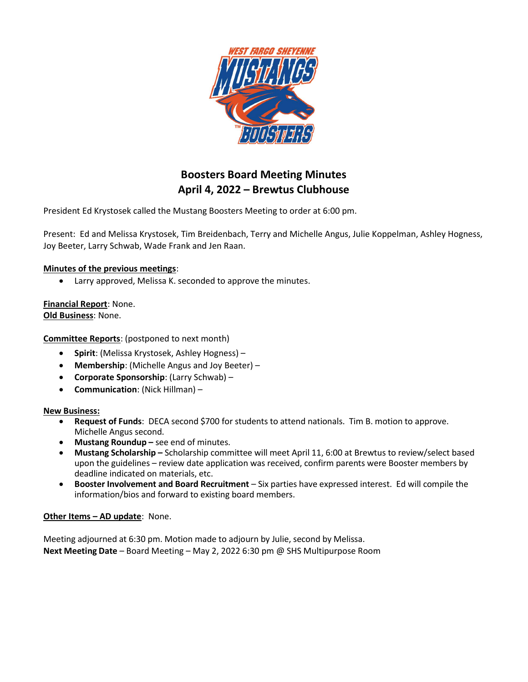

# Boosters Board Meeting Minutes April 4, 2022 – Brewtus Clubhouse

President Ed Krystosek called the Mustang Boosters Meeting to order at 6:00 pm.

Present: Ed and Melissa Krystosek, Tim Breidenbach, Terry and Michelle Angus, Julie Koppelman, Ashley Hogness, Joy Beeter, Larry Schwab, Wade Frank and Jen Raan.

## Minutes of the previous meetings:

Larry approved, Melissa K. seconded to approve the minutes.

Financial Report: None. Old Business: None.

Committee Reports: (postponed to next month)

- Spirit: (Melissa Krystosek, Ashley Hogness) –
- Membership: (Michelle Angus and Joy Beeter) –
- Corporate Sponsorship: (Larry Schwab) –
- Communication: (Nick Hillman) –

### New Business:

- Request of Funds: DECA second \$700 for students to attend nationals. Tim B. motion to approve. Michelle Angus second.
- Mustang Roundup see end of minutes.
- Mustang Scholarship Scholarship committee will meet April 11, 6:00 at Brewtus to review/select based upon the guidelines – review date application was received, confirm parents were Booster members by deadline indicated on materials, etc.
- Booster Involvement and Board Recruitment Six parties have expressed interest. Ed will compile the information/bios and forward to existing board members.

### Other Items - AD update: None.

Meeting adjourned at 6:30 pm. Motion made to adjourn by Julie, second by Melissa. Next Meeting Date – Board Meeting – May 2, 2022 6:30 pm @ SHS Multipurpose Room